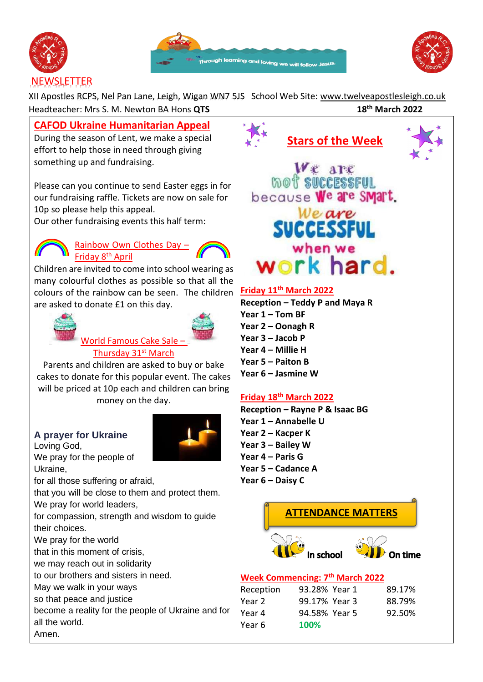





# **NEWSLETTER**

XII Apostles RCPS, Nel Pan Lane, Leigh, Wigan WN7 5JS School Web Site: [www.twelveapostlesleigh.co.uk](http://www.twelveapostlesleigh.co.uk/)  Headteacher: Mrs S. M. Newton BA Hons **QTS 18th March 2022**

**CAFOD Ukraine Humanitarian Appeal** 

During the season of Lent, we make a special effort to help those in need through giving something up and fundraising.

Please can you continue to send Easter eggs in for our fundraising raffle. Tickets are now on sale for 10p so please help this appeal.

Our other fundraising events this half term:



Rainbow Own Clothes Day – Friday 8th April



Children are invited to come into school wearing as many colourful clothes as possible so that all the colours of the rainbow can be seen. The children are asked to donate £1 on this day.





World Famous Cake Sale – Thursday 31<sup>st</sup> March

Parents and children are asked to buy or bake cakes to donate for this popular event. The cakes will be priced at 10p each and children can bring money on the day.

# **A prayer for Ukraine**

Loving God, We pray for the people of Ukraine,



that you will be close to them and protect them. We pray for world leaders,

for compassion, strength and wisdom to guide their choices.

We pray for the world

that in this moment of crisis,

we may reach out in solidarity

to our brothers and sisters in need.

May we walk in your ways

so that peace and justice

become a reality for the people of Ukraine and for all the world.

Amen.



# **Friday 11th March 2022**

**Reception – Teddy P and Maya R Year 1 – Tom BF Year 2 – Oonagh R Year 3 – Jacob P Year 4 – Millie H Year 5 – Paiton B Year 6 – Jasmine W**

# **Friday 18th March 2022**

Year 6 **100%**

**Reception – Rayne P & Isaac BG Year 1 – Annabelle U Year 2 – Kacper K Year 3 – Bailey W Year 4 – Paris G Year 5 – Cadance A Year 6 – Daisy C**

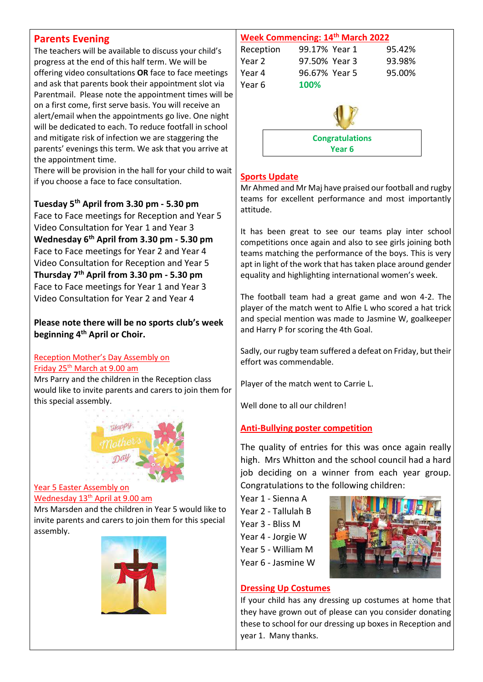### **Parents Evening**

The teachers will be available to discuss your child's progress at the end of this half term. We will be offering video consultations **OR** face to face meetings and ask that parents book their appointment slot via Parentmail. Please note the appointment times will be on a first come, first serve basis. You will receive an alert/email when the appointments go live. One night will be dedicated to each. To reduce footfall in school and mitigate risk of infection we are staggering the parents' evenings this term. We ask that you arrive at the appointment time.

There will be provision in the hall for your child to wait if you choose a face to face consultation.

**Tuesday 5th April from 3.30 pm - 5.30 pm** Face to Face meetings for Reception and Year 5 Video Consultation for Year 1 and Year 3 **Wednesday 6th April from 3.30 pm - 5.30 pm** Face to Face meetings for Year 2 and Year 4 Video Consultation for Reception and Year 5 **Thursday 7th April from 3.30 pm - 5.30 pm** Face to Face meetings for Year 1 and Year 3 Video Consultation for Year 2 and Year 4

#### **Please note there will be no sports club's week beginning 4th April or Choir.**

### Reception Mother's Day Assembly on **Friday 25<sup>th</sup> March at 9.00 am**

Mrs Parry and the children in the Reception class would like to invite parents and carers to join them for this special assembly.



#### Year 5 Easter Assembly on Wednesday 13<sup>th</sup> April at 9.00 am

Mrs Marsden and the children in Year 5 would like to invite parents and carers to join them for this special assembly.





### **Sports Update**

Mr Ahmed and Mr Maj have praised our football and rugby teams for excellent performance and most importantly attitude.

It has been great to see our teams play inter school competitions once again and also to see girls joining both teams matching the performance of the boys. This is very apt in light of the work that has taken place around gender equality and highlighting international women's week.

The football team had a great game and won 4-2. The player of the match went to Alfie L who scored a hat trick and special mention was made to Jasmine W, goalkeeper and Harry P for scoring the 4th Goal.

Sadly, our rugby team suffered a defeat on Friday, but their effort was commendable.

Player of the match went to Carrie L.

Well done to all our children!

### **Anti-Bullying poster competition**

The quality of entries for this was once again really high. Mrs Whitton and the school council had a hard job deciding on a winner from each year group. Congratulations to the following children:

Year 1 - Sienna A

Year 2 - Tallulah B

Year 3 - Bliss M

Year 4 - Jorgie W

Year 5 - William M

Year 6 - Jasmine W



### **Dressing Up Costumes**

If your child has any dressing up costumes at home that they have grown out of please can you consider donating these to school for our dressing up boxes in Reception and year 1. Many thanks.